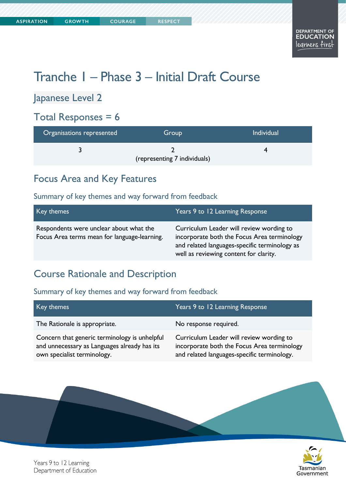# Tranche 1 – Phase 3 – Initial Draft Course

#### Japanese Level 2

### Total Responses =  $6$

| Organisations represented | Group                        | <b>Individual</b> |
|---------------------------|------------------------------|-------------------|
|                           | (representing 7 individuals) |                   |

#### Focus Area and Key Features

#### Summary of key themes and way forward from feedback

| Key themes                                                                              | Years 9 to 12 Learning Response                                                                                                                                                    |
|-----------------------------------------------------------------------------------------|------------------------------------------------------------------------------------------------------------------------------------------------------------------------------------|
| Respondents were unclear about what the<br>Focus Area terms mean for language-learning. | Curriculum Leader will review wording to<br>incorporate both the Focus Area terminology<br>and related languages-specific terminology as<br>well as reviewing content for clarity. |

#### Course Rationale and Description

| Key themes                                                                                                                   | Years 9 to 12 Learning Response                                                                                                        |
|------------------------------------------------------------------------------------------------------------------------------|----------------------------------------------------------------------------------------------------------------------------------------|
| The Rationale is appropriate.                                                                                                | No response required.                                                                                                                  |
| Concern that generic terminology is unhelpful<br>and unnecessary as Languages already has its<br>own specialist terminology. | Curriculum Leader will review wording to<br>incorporate both the Focus Area terminology<br>and related languages-specific terminology. |

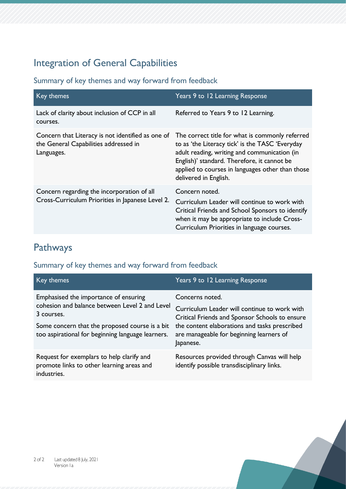## Integration of General Capabilities

Summary of key themes and way forward from feedback

| Key themes                                                                                               | Years 9 to 12 Learning Response                                                                                                                                                                                                                                                |
|----------------------------------------------------------------------------------------------------------|--------------------------------------------------------------------------------------------------------------------------------------------------------------------------------------------------------------------------------------------------------------------------------|
| Lack of clarity about inclusion of CCP in all<br>courses.                                                | Referred to Years 9 to 12 Learning.                                                                                                                                                                                                                                            |
| Concern that Literacy is not identified as one of<br>the General Capabilities addressed in<br>Languages. | The correct title for what is commonly referred<br>to as 'the Literacy tick' is the TASC 'Everyday<br>adult reading, writing and communication (in<br>English)' standard. Therefore, it cannot be<br>applied to courses in languages other than those<br>delivered in English. |
| Concern regarding the incorporation of all<br>Cross-Curriculum Priorities in Japanese Level 2.           | Concern noted.<br>Curriculum Leader will continue to work with<br>Critical Friends and School Sponsors to identify<br>when it may be appropriate to include Cross-<br>Curriculum Priorities in language courses.                                                               |

## Pathways

| Key themes                                                                                                                                                                                                   | Years 9 to 12 Learning Response                                                                                                                                                                                             |
|--------------------------------------------------------------------------------------------------------------------------------------------------------------------------------------------------------------|-----------------------------------------------------------------------------------------------------------------------------------------------------------------------------------------------------------------------------|
| Emphasised the importance of ensuring<br>cohesion and balance between Level 2 and Level<br>3 courses.<br>Some concern that the proposed course is a bit<br>too aspirational for beginning language learners. | Concerns noted.<br>Curriculum Leader will continue to work with<br>Critical Friends and Sponsor Schools to ensure<br>the content elaborations and tasks prescribed<br>are manageable for beginning learners of<br>Japanese. |
| Request for exemplars to help clarify and<br>promote links to other learning areas and<br>industries.                                                                                                        | Resources provided through Canvas will help<br>identify possible transdisciplinary links.                                                                                                                                   |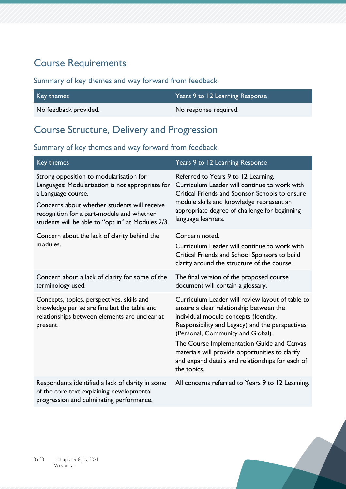### Course Requirements

#### Summary of key themes and way forward from feedback

| Key themes            | Years 9 to 12 Learning Response |
|-----------------------|---------------------------------|
| No feedback provided. | No response required.           |

#### Course Structure, Delivery and Progression

| Key themes                                                                                                                                                                                                                                                          | Years 9 to 12 Learning Response                                                                                                                                                                                                                                                                                                                                                                  |
|---------------------------------------------------------------------------------------------------------------------------------------------------------------------------------------------------------------------------------------------------------------------|--------------------------------------------------------------------------------------------------------------------------------------------------------------------------------------------------------------------------------------------------------------------------------------------------------------------------------------------------------------------------------------------------|
| Strong opposition to modularisation for<br>Languages: Modularisation is not appropriate for<br>a Language course.<br>Concerns about whether students will receive<br>recognition for a part-module and whether<br>students will be able to "opt in" at Modules 2/3. | Referred to Years 9 to 12 Learning.<br>Curriculum Leader will continue to work with<br>Critical Friends and Sponsor Schools to ensure<br>module skills and knowledge represent an<br>appropriate degree of challenge for beginning<br>language learners.                                                                                                                                         |
| Concern about the lack of clarity behind the<br>modules.                                                                                                                                                                                                            | Concern noted.<br>Curriculum Leader will continue to work with<br>Critical Friends and School Sponsors to build<br>clarity around the structure of the course.                                                                                                                                                                                                                                   |
| Concern about a lack of clarity for some of the<br>terminology used.                                                                                                                                                                                                | The final version of the proposed course<br>document will contain a glossary.                                                                                                                                                                                                                                                                                                                    |
| Concepts, topics, perspectives, skills and<br>knowledge per se are fine but the table and<br>relationships between elements are unclear at<br>present.                                                                                                              | Curriculum Leader will review layout of table to<br>ensure a clear relationship between the<br>individual module concepts (Identity,<br>Responsibility and Legacy) and the perspectives<br>(Personal, Community and Global).<br>The Course Implementation Guide and Canvas<br>materials will provide opportunities to clarify<br>and expand details and relationships for each of<br>the topics. |
| Respondents identified a lack of clarity in some<br>of the core text explaining developmental<br>progression and culminating performance.                                                                                                                           | All concerns referred to Years 9 to 12 Learning.                                                                                                                                                                                                                                                                                                                                                 |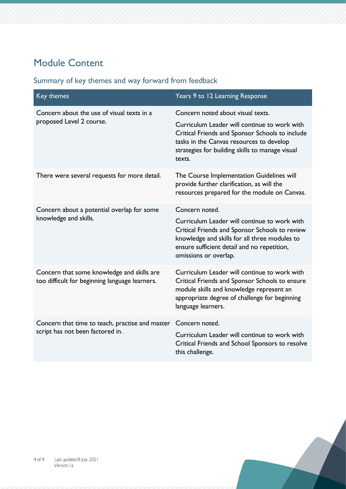## Module Content

| Key themes                                                                                   | Years 9 to 12 Learning Response                                                                                                                                                                                         |
|----------------------------------------------------------------------------------------------|-------------------------------------------------------------------------------------------------------------------------------------------------------------------------------------------------------------------------|
| Concern about the use of visual texts in a                                                   | Concern noted about visual texts.                                                                                                                                                                                       |
| proposed Level 2 course.                                                                     | Curriculum Leader will continue to work with<br>Critical Friends and Sponsor Schools to include<br>tasks in the Canvas resources to develop<br>strategies for building skills to manage visual<br>texts.                |
| There were several requests for more detail.                                                 | The Course Implementation Guidelines will<br>provide further clarification, as will the<br>resources prepared for the module on Canvas.                                                                                 |
| Concern about a potential overlap for some<br>knowledge and skills.                          | Concern noted.                                                                                                                                                                                                          |
|                                                                                              | Curriculum Leader will continue to work with<br>Critical Friends and Sponsor Schools to review<br>knowledge and skills for all three modules to<br>ensure sufficient detail and no repetition,<br>omissions or overlap. |
| Concern that some knowledge and skills are<br>too difficult for beginning language learners. | Curriculum Leader will continue to work with<br>Critical Friends and Sponsor Schools to ensure<br>module skills and knowledge represent an<br>appropriate degree of challenge for beginning<br>language learners.       |
| Concern that time to teach, practise and master<br>script has not been factored in.          | Concern noted.                                                                                                                                                                                                          |
|                                                                                              | Curriculum Leader will continue to work with<br>Critical Friends and School Sponsors to resolve<br>this challenge.                                                                                                      |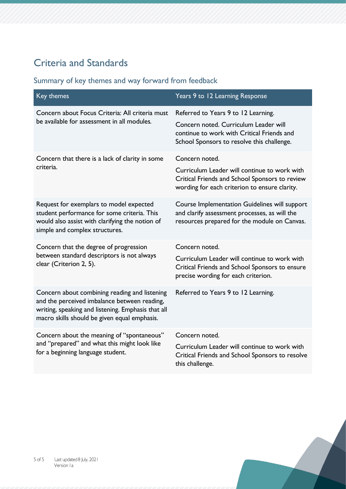## Criteria and Standards

| Key themes                                                                                                                                                                                          | Years 9 to 12 Learning Response                                                                                                                                          |
|-----------------------------------------------------------------------------------------------------------------------------------------------------------------------------------------------------|--------------------------------------------------------------------------------------------------------------------------------------------------------------------------|
| Concern about Focus Criteria: All criteria must<br>be available for assessment in all modules.                                                                                                      | Referred to Years 9 to 12 Learning.<br>Concern noted. Curriculum Leader will<br>continue to work with Critical Friends and<br>School Sponsors to resolve this challenge. |
| Concern that there is a lack of clarity in some<br>criteria.                                                                                                                                        | Concern noted.<br>Curriculum Leader will continue to work with<br>Critical Friends and School Sponsors to review<br>wording for each criterion to ensure clarity.        |
| Request for exemplars to model expected<br>student performance for some criteria. This<br>would also assist with clarifying the notion of<br>simple and complex structures.                         | Course Implementation Guidelines will support<br>and clarify assessment processes, as will the<br>resources prepared for the module on Canvas.                           |
| Concern that the degree of progression<br>between standard descriptors is not always<br>clear (Criterion 2, 5).                                                                                     | Concern noted.<br>Curriculum Leader will continue to work with<br>Critical Friends and School Sponsors to ensure<br>precise wording for each criterion.                  |
| Concern about combining reading and listening<br>and the perceived imbalance between reading,<br>writing, speaking and listening. Emphasis that all<br>macro skills should be given equal emphasis. | Referred to Years 9 to 12 Learning.                                                                                                                                      |
| Concern about the meaning of "spontaneous"<br>and "prepared" and what this might look like<br>for a beginning language student.                                                                     | Concern noted.<br>Curriculum Leader will continue to work with<br>Critical Friends and School Sponsors to resolve<br>this challenge.                                     |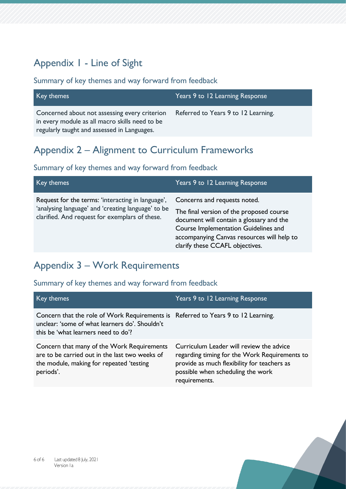## Appendix 1 - Line of Sight

#### Summary of key themes and way forward from feedback

| Key themes                                                                                                                                     | Years 9 to 12 Learning Response     |
|------------------------------------------------------------------------------------------------------------------------------------------------|-------------------------------------|
| Concerned about not assessing every criterion<br>in every module as all macro skills need to be<br>regularly taught and assessed in Languages. | Referred to Years 9 to 12 Learning. |

#### Appendix 2 – Alignment to Curriculum Frameworks

#### Summary of key themes and way forward from feedback

| Key themes                                                                                                                                                | Years 9 to 12 Learning Response                                                                                                                                                                                                               |
|-----------------------------------------------------------------------------------------------------------------------------------------------------------|-----------------------------------------------------------------------------------------------------------------------------------------------------------------------------------------------------------------------------------------------|
| Request for the terms: 'interacting in language',<br>'analysing language' and 'creating language' to be<br>clarified. And request for exemplars of these. | Concerns and requests noted.<br>The final version of the proposed course<br>document will contain a glossary and the<br>Course Implementation Guidelines and<br>accompanying Canvas resources will help to<br>clarify these CCAFL objectives. |

## Appendix 3 – Work Requirements

| Key themes                                                                                                                                                                 | Years 9 to 12 Learning Response                                                                                                                                                                |
|----------------------------------------------------------------------------------------------------------------------------------------------------------------------------|------------------------------------------------------------------------------------------------------------------------------------------------------------------------------------------------|
| Concern that the role of Work Requirements is Referred to Years 9 to 12 Learning.<br>unclear: 'some of what learners do'. Shouldn't<br>this be 'what learners need to do'? |                                                                                                                                                                                                |
| Concern that many of the Work Requirements<br>are to be carried out in the last two weeks of<br>the module, making for repeated 'testing<br>periods'.                      | Curriculum Leader will review the advice<br>regarding timing for the Work Requirements to<br>provide as much flexibility for teachers as<br>possible when scheduling the work<br>requirements. |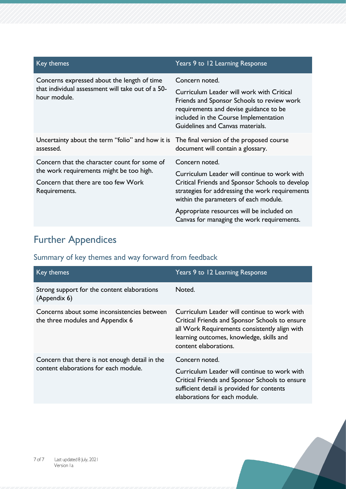| Key themes                                                                                                                                       | Years 9 to 12 Learning Response                                                                                                                                                                                                  |
|--------------------------------------------------------------------------------------------------------------------------------------------------|----------------------------------------------------------------------------------------------------------------------------------------------------------------------------------------------------------------------------------|
| Concerns expressed about the length of time<br>that individual assessment will take out of a 50-<br>hour module.                                 | Concern noted.<br>Curriculum Leader will work with Critical<br>Friends and Sponsor Schools to review work<br>requirements and devise guidance to be<br>included in the Course Implementation<br>Guidelines and Canvas materials. |
| Uncertainty about the term "folio" and how it is<br>assessed.                                                                                    | The final version of the proposed course<br>document will contain a glossary.                                                                                                                                                    |
| Concern that the character count for some of<br>the work requirements might be too high.<br>Concern that there are too few Work<br>Requirements. | Concern noted.<br>Curriculum Leader will continue to work with<br>Critical Friends and Sponsor Schools to develop<br>strategies for addressing the work requirements<br>within the parameters of each module.                    |
|                                                                                                                                                  | Appropriate resources will be included on<br>Canvas for managing the work requirements.                                                                                                                                          |

## Further Appendices

| Key themes                                                                              | Years 9 to 12 Learning Response                                                                                                                                                                                      |
|-----------------------------------------------------------------------------------------|----------------------------------------------------------------------------------------------------------------------------------------------------------------------------------------------------------------------|
| Strong support for the content elaborations<br>(Appendix 6)                             | Noted.                                                                                                                                                                                                               |
| Concerns about some inconsistencies between<br>the three modules and Appendix 6         | Curriculum Leader will continue to work with<br>Critical Friends and Sponsor Schools to ensure<br>all Work Requirements consistently align with<br>learning outcomes, knowledge, skills and<br>content elaborations. |
| Concern that there is not enough detail in the<br>content elaborations for each module. | Concern noted.                                                                                                                                                                                                       |
|                                                                                         | Curriculum Leader will continue to work with<br>Critical Friends and Sponsor Schools to ensure<br>sufficient detail is provided for contents<br>elaborations for each module.                                        |